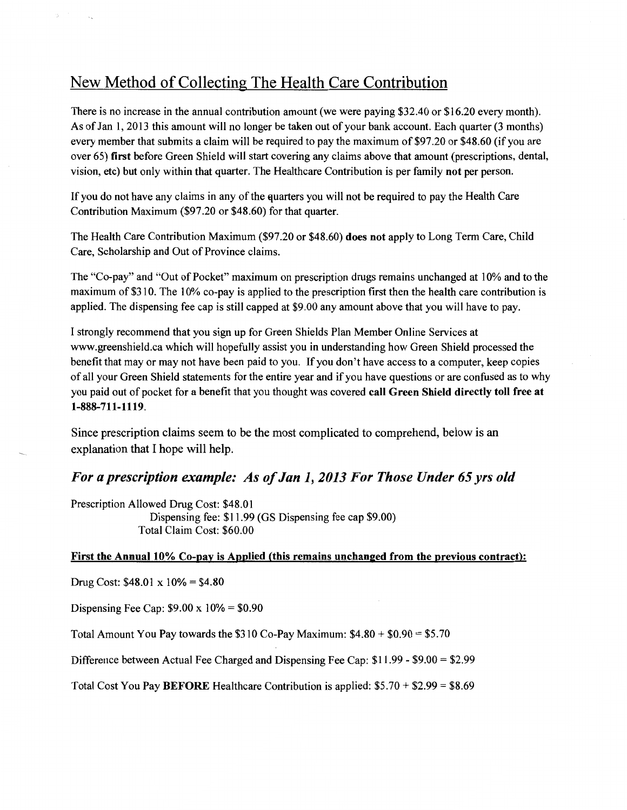# New Method of Collecting The Health Care Contribution

There is no increase in the annual contribution amount (we were paying \$32.40 or \$16.20 every month). As of Jan 1, 2013 this amount will no longer be taken out of your bank account. Each quarter (3 months) every member that submits a claim will be required to pay the maximum of \$97.20 or \$48.60 (if you are over 65) first before Green Shield will start covering any claims above that amount (prescriptions, dental, vision, etc) but only within that quarter. The Healthcare Contribution is per family not per person.

If you do not have any claims in any of the quarters you will not be required to pay the Health Care Contribution Maximum (\$97.20 or \$48.60) for that quarter.

The Health Care Contribution Maximum (\$97.20 or \$48.60) does not apply to Long Term Care, Child Care, Scholarship and Out of Province claims.

The "Co-pay" and "Out of Pocket" maximum on prescription drugs remains unchanged at 10% and to the maximum of \$310. The 10% co-pay is applied to the prescription first then the health care contribution is applied. The dispensing fee cap is still capped at \$9.00 any amount above that you will have to pay.

I strongly recommend that you sign up for Green Shields Plan Member Online Services at www.greenshield.ca which will hopefully assist you in understanding how Green Shield processed the benefit that may or may not have been paid to you. If you don't have access to a computer, keep copies of all your Green Shield statements for the entire year and if you have questions or are confused as to why you paid out of pocket for a benefit that you thought was covered call Green Shield directly toll free at 1-888-711-1119.

Since prescription claims seem to be the most complicated to comprehend, below is an explanation that I hope will help.

# *For a prescription example: As of Jan 1, 2013 For Those Under 65 yrs old*

Prescription Allowed Drug Cost: \$48.01 Dispensing fee: \$11.99 (GS Dispensing fee cap \$9.00) Total Claim Cost: \$60.00

### First the Annual 10% Co-pay is Applied (this remains unchanged from the previous contract):

Drug Cost: \$48.01 x 10% = \$4.80

÷.

Dispensing Fee Cap:  $$9.00 \times 10\% = $0.90$ 

Total Amount You Pay towards the  $$310$  Co-Pay Maximum:  $$4.80 + $0.90 = $5.70$ 

Difference between Actual Fee Charged and Dispensing Fee Cap: \$11.99- \$9.00 = \$2.99

Total Cost You Pay BEFORE Healthcare Contribution is applied: \$5.70 + \$2.99 = \$8.69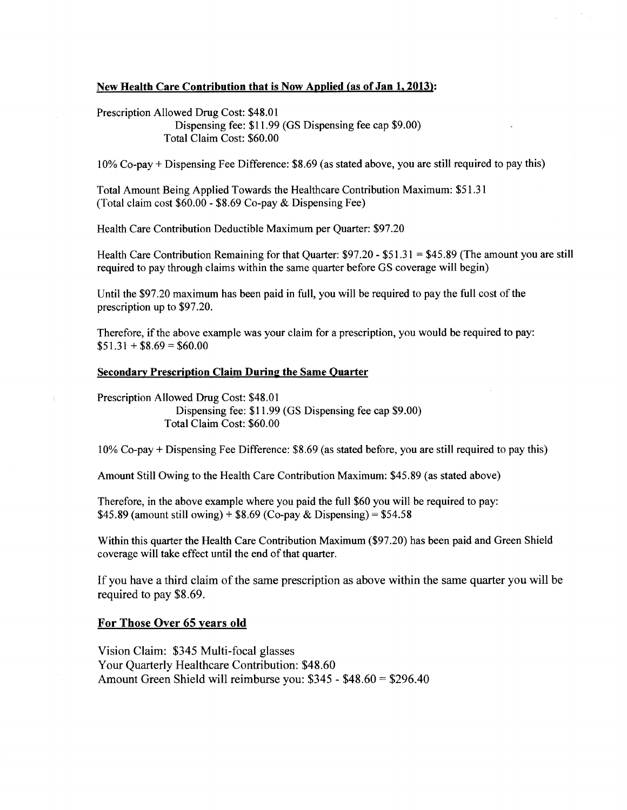#### New Health Care Contribution that is Now Applied (as of Jan 1, 2013):

Prescription Allowed Drug Cost: \$48.01

Dispensing fee: \$11.99 (GS Dispensing fee cap \$9.00) Total Claim Cost: \$60.00

10% Co-pay+ Dispensing Fee Difference: \$8.69 (as stated above, you are still required to pay this)

Total Amount Being Applied Towards the Healthcare Contribution Maximum: \$51.31 (Total claim cost \$60.00- \$8.69 Co-pay & Dispensing Fee)

Health Care Contribution Deductible Maximum per Quarter: \$97.20

Health Care Contribution Remaining for that Quarter: \$97.20- \$51.31 = \$45.89 (The amount you are still required to pay through claims within the same quarter before GS coverage will begin)

Until the \$97.20 maximum has been paid in full, you will be required to pay the full cost of the prescription up to \$97.20.

Therefore, if the above example was your claim for a prescription, you would be required to pay:  $$51.31 + $8.69 = $60.00$ 

### Secondary Prescription Claim During the Same Quarter

Prescription Allowed Drug Cost: \$48.01 Dispensing fee: \$11.99 (GS Dispensing fee cap \$9.00) Total Claim Cost: \$60.00

10% Co-pay+ Dispensing Fee Difference: \$8.69 (as stated before, you are still required to pay this)

Amount Still Owing to the Health Care Contribution Maximum: \$45.89 (as stated above)

Therefore, in the above example where you paid the full \$60 you will be required to pay: \$45.89 (amount still owing) + \$8.69 (Co-pay & Dispensing) = \$54.58

Within this quarter the Health Care Contribution Maximum (\$97 .20) has been paid and Green Shield coverage will take effect until the end of that quarter.

If you have a third claim of the same prescription as above within the same quarter you will be required to pay \$8.69.

#### For Those Over 65 years old

Vision Claim: \$345 Multi-focal glasses Your Quarterly Healthcare Contribution: \$48.60 Amount Green Shield will reimburse you: \$345 - \$48.60 = \$296.40